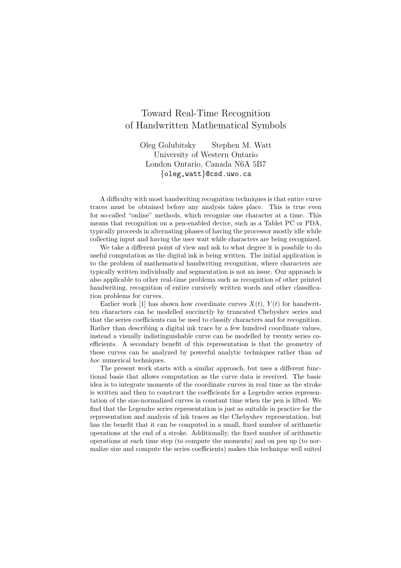## Toward Real-Time Recognition of Handwritten Mathematical Symbols

Oleg Golubitsky Stephen M. Watt University of Western Ontario London Ontario, Canada N6A 5B7 {oleg,watt}@csd.uwo.ca

A difficulty with most handwriting recognition techniques is that entire curve traces must be obtained before any analysis takes place. This is true even for so-called "online" methods, which recognize one character at a time. This means that recognition on a pen-enabled device, such as a Tablet PC or PDA, typically proceeds in alternating phases of having the processor mostly idle while collecting input and having the user wait while characters are being recognized.

We take a different point of view and ask to what degree it is possbile to do useful computation as the digital ink is being written. The initial application is to the problem of mathematical handwriting recognition, where characters are typically written individually and segmentation is not an issue. Our approach is also applicable to other real-time problems such as recognition of other printed handwriting, recognition of entire cursively written words and other classification problems for curves.

Earlier work [1] has shown how coordinate curves  $X(t)$ ,  $Y(t)$  for handwritten characters can be modelled succinctly by truncated Chebyshev series and that the series coefficients can be used to classify characters and for recognition. Rather than describing a digital ink trace by a few hundred coordinate values, instead a visually indistinguishable curve can be modelled by twenty series coefficients. A secondary benefit of this representation is that the geometry of these curves can be analyzed by powerful analytic techniques rather than ad hoc numerical techniques.

The present work starts with a similar approach, but uses a different functional basis that allows computation as the curve data is received. The basic idea is to integrate moments of the coordinate curves in real time as the stroke is written and then to construct the coefficients for a Legendre series representation of the size-normalized curves in constant time when the pen is lifted. We find that the Legendre series representation is just as suitable in practice for the representation and analysis of ink traces as the Chebyshev representation, but has the benefit that it can be computed in a small, fixed number of arithmetic operations at the end of a stroke. Additionally, the fixed number of arithmetic operations at each time step (to compute the moments) and on pen up (to normalize size and compute the series coefficients) makes this technique well suited